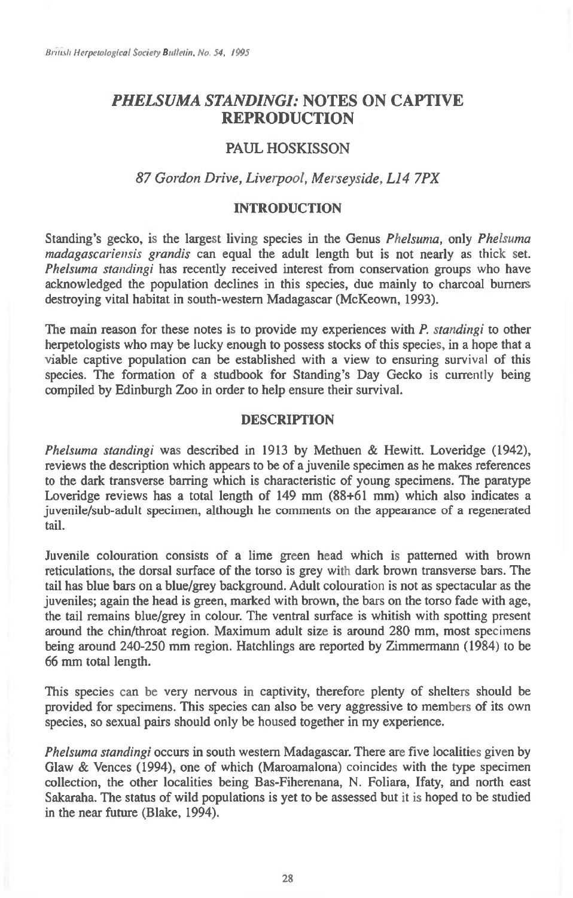# *PHELSUMA STANDINGI:* **NOTES ON CAPTIVE REPRODUCTION**

## PAUL HOSKISSON

### *87 Gordon Drive, Liverpool, Merseyside, L14 7PX*

### **INTRODUCTION**

Standing's gecko, is the largest living species in the Genus *Phelsuma,* only *Phelsuma madagascariensis grandis* can equal the adult length but is not nearly as thick set. *Phelsuma standingi* has recently received interest from conservation groups who have acknowledged the population declines in this species, due mainly to charcoal burners destroying vital habitat in south-western Madagascar (McKeown, 1993).

The main reason for these notes is to provide my experiences with *P. standingi* to other herpetologists who may be lucky enough to possess stocks of this species, in a hope that a viable captive population can be established with a view to ensuring survival of this species. The formation of a studbook for Standing's Day Gecko is currently being compiled by Edinburgh Zoo in order to help ensure their survival.

#### **DESCRIPTION**

*Phelsuma standingi* was described in 1913 by Methuen & Hewitt. Loveridge (1942), reviews the description which appears to be of a juvenile specimen as he makes references to the dark transverse barring which is characteristic of young specimens. The paratype Loveridge reviews has a total length of 149 mm (88+61 mm) which also indicates a juvenile/sub-adult specimen, although he comments on the appearance of a regenerated tail.

Juvenile colouration consists of a lime green head which is patterned with brown reticulations, the dorsal surface of the torso is grey with dark brown transverse bars. The tail has blue bars on a blue/grey background. Adult colouration is not as spectacular as the juveniles; again the head is green, marked with brown, the bars on the torso fade with age, the tail remains blue/grey in colour. The ventral surface is whitish with spotting present around the chin/throat region. Maximum adult size is around 280 mm, most specimens being around 240-250 mm region. Hatchlings are reported by Zimmermann (1984) to be 66 mm total length.

This species can be very nervous in captivity, therefore plenty of shelters should be provided for specimens. This species can also be very aggressive to members of its own species, so sexual pairs should only be housed together in my experience.

*Phelsuma standingi* occurs in south western Madagascar. There are five localities given by Glaw & Vences (1994), one of which (Maroamalona) coincides with the type specimen collection, the other localities being Bas-Fiherenana, N. Foliara, Ifaty, and north east Sakaraha. The status of wild populations is yet to be assessed but it is hoped to be studied in the near future (Blake, 1994).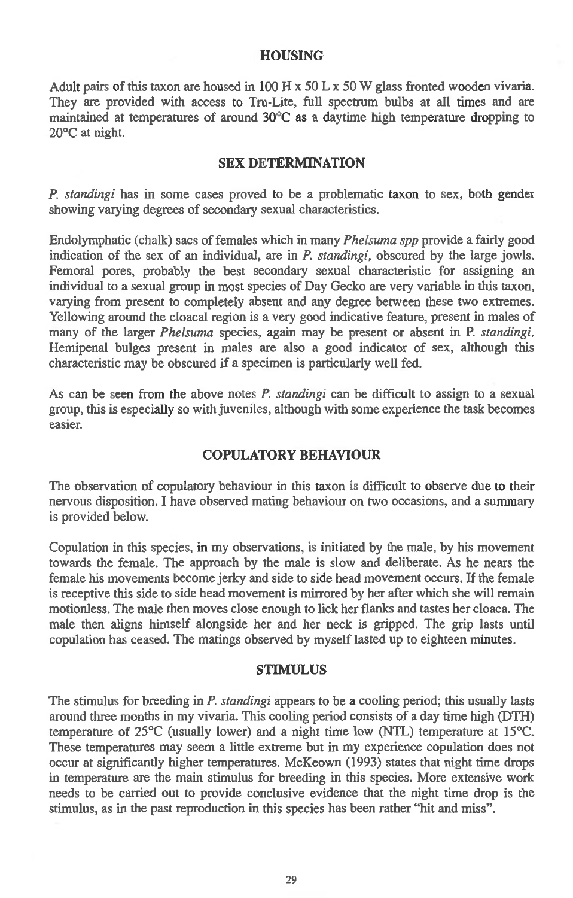### HOUSING

Adult pairs of this taxon are housed in 100 H  $\times$  50 L  $\times$  50 W glass fronted wooden vivaria. They are provided with access to Tru-Lite, full spectrum bulbs at all times and are maintained at temperatures of around  $30^{\circ}$ C as a daytime high temperature dropping to 20°C at night.

#### SEX DETERMINATION

*P. standingi* has in some cases proved to be a problematic taxon to sex, both gender showing varying degrees of secondary sexual characteristics.

Endolymphatic (chalk) sacs of females which in many *Phelsuma spp* provide a fairly good indication of the sex of an individual, are in *P. standingi,* obscured by the large jowls. Femoral pores, probably the best secondary sexual characteristic for assigning an individual to a sexual group in most species of Day Gecko are very variable in this taxon, varying from present to completely absent and any degree between these two extremes. Yellowing around the cloacal region is a very good indicative feature, present in males of many of the larger *Phelsuma* species, again may be present or absent in P. *standingi.*  Hemipenal bulges present in males are also a good indicator of sex, although this characteristic may be obscured if a specimen is particularly well fed.

As can be seen from the above notes *P. standingi* can be difficult to assign to a sexual group, this is especially so with juveniles, although with some experience the task becomes easier.

### COPULATORY BEHAVIOUR

The observation of copulatory behaviour in this taxon is difficult to observe due to their nervous disposition. **I** have observed mating behaviour on two occasions, and a summary is provided below.

Copulation in this **species, in my observations, is** initiated **by the male, by his movement towards the female. The approach by the male is** slow **and deliberate. As he nears the female his movements become jerky and side to side head movement occurs. If the female is** receptive this side to side head movement is mirrored by her after which she will remain motionless. The male then moves close enough to lick her flanks and tastes her cloaca. The male then aligns himself alongside her and her neck is gripped. The grip lasts until **copulation has ceased. The matings observed by myself lasted up to eighteen minutes.** 

#### STIMULUS

The stimulus for breeding in *P. standingi* appears to be a cooling period; this usually lasts around three months in my vivaria. This cooling period consists of a day time high (DTH) temperature of 25°C (usually lower) and a night time low (NTL) temperature at 15°C. These temperatures **may seem a little extreme but in my experience copulation does not occur at significantly higher temperatures. McKeown (1993) states that night time drops in temperature are the main stimulus for breeding in this species. More extensive work needs to be carried out to provide conclusive evidence that the night time drop is the stimulus, as in the past reproduction in this species has been rather "hit and miss".**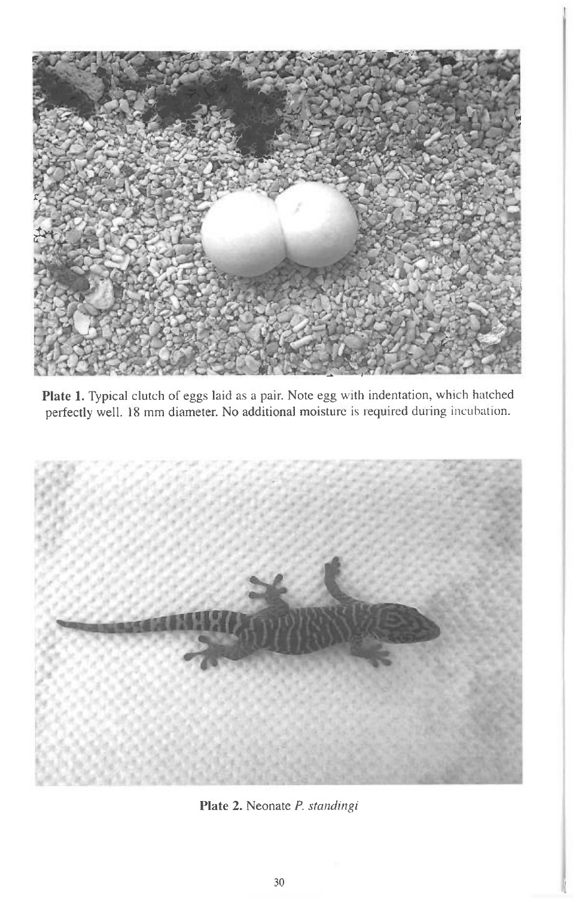

**Plate 1.** Typical clutch of eggs laid as a pair. Note egg with indentation, which hatched perfectly well. 18 mm diameter. No additional moisture is required during incubation.



Plate 2. Neonate *P. standingi*